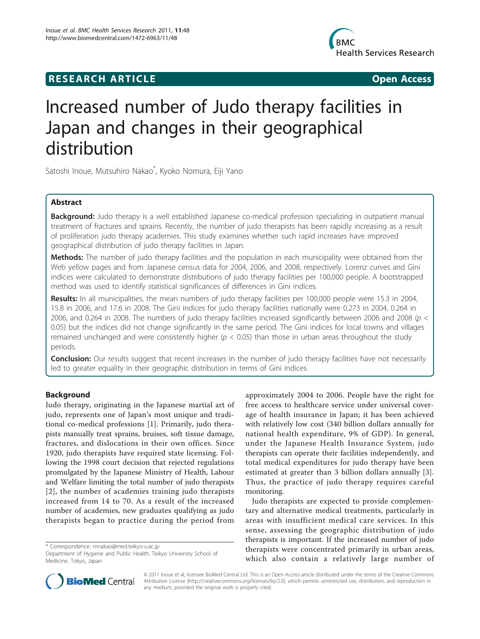# **RESEARCH ARTICLE Example 2014 CONSUMING ACCESS**



# Increased number of Judo therapy facilities in Japan and changes in their geographical distribution

Satoshi Inoue, Mutsuhiro Nakao\* , Kyoko Nomura, Eiji Yano

# Abstract

Background: Judo therapy is a well established Japanese co-medical profession specializing in outpatient manual treatment of fractures and sprains. Recently, the number of judo therapists has been rapidly increasing as a result of proliferation judo therapy academies. This study examines whether such rapid increases have improved geographical distribution of judo therapy facilities in Japan.

Methods: The number of judo therapy facilities and the population in each municipality were obtained from the Web yellow pages and from Japanese census data for 2004, 2006, and 2008, respectively. Lorenz curves and Gini indices were calculated to demonstrate distributions of judo therapy facilities per 100,000 people. A bootstrapped method was used to identify statistical significances of differences in Gini indices.

Results: In all municipalities, the mean numbers of judo therapy facilities per 100,000 people were 15.3 in 2004, 15.8 in 2006, and 17.6 in 2008. The Gini indices for judo therapy facilities nationally were 0.273 in 2004, 0.264 in 2006, and 0.264 in 2008. The numbers of judo therapy facilities increased significantly between 2006 and 2008 ( $p <$ 0.05) but the indices did not change significantly in the same period. The Gini indices for local towns and villages remained unchanged and were consistently higher ( $p < 0.05$ ) than those in urban areas throughout the study periods.

**Conclusion:** Our results suggest that recent increases in the number of judo therapy facilities have not necessarily led to greater equality in their geographic distribution in terms of Gini indices.

# Background

Judo therapy, originating in the Japanese martial art of judo, represents one of Japan's most unique and traditional co-medical professions [[1\]](#page-4-0). Primarily, judo therapists manually treat sprains, bruises, soft tissue damage, fractures, and dislocations in their own offices. Since 1920, judo therapists have required state licensing. Following the 1998 court decision that rejected regulations promulgated by the Japanese Ministry of Health, Labour and Welfare limiting the total number of judo therapists [[2](#page-4-0)], the number of academies training judo therapists increased from 14 to 70. As a result of the increased number of academies, new graduates qualifying as judo therapists began to practice during the period from

approximately 2004 to 2006. People have the right for free access to healthcare service under universal coverage of health insurance in Japan; it has been achieved with relatively low cost (340 billion dollars annually for national health expenditure, 9% of GDP). In general, under the Japanese Health Insurance System, judo therapists can operate their facilities independently, and total medical expenditures for judo therapy have been estimated at greater than 3 billion dollars annually [[3](#page-4-0)]. Thus, the practice of judo therapy requires careful monitoring.

Judo therapists are expected to provide complementary and alternative medical treatments, particularly in areas with insufficient medical care services. In this sense, assessing the geographic distribution of judo therapists is important. If the increased number of judo therapists were concentrated primarily in urban areas, which also contain a relatively large number of



© 2011 Inoue et al; licensee BioMed Central Ltd. This is an Open Access article distributed under the terms of the Creative Commons Attribution License [\(http://creativecommons.org/licenses/by/2.0](http://creativecommons.org/licenses/by/2.0)), which permits unrestricted use, distribution, and reproduction in any medium, provided the original work is properly cited.

<sup>\*</sup> Correspondence: [mnakao@med.teikyo-u.ac.jp](mailto:mnakao@med.teikyo-u.ac.jp)

Department of Hygiene and Public Health, Teikyo University School of Medicine, Tokyo, Japan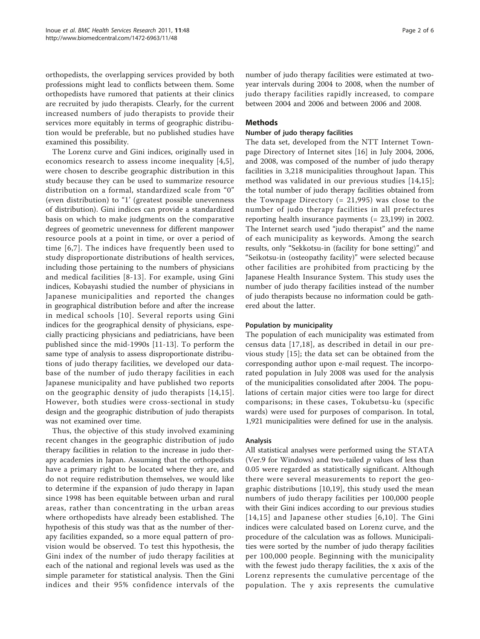orthopedists, the overlapping services provided by both professions might lead to conflicts between them. Some orthopedists have rumored that patients at their clinics are recruited by judo therapists. Clearly, for the current increased numbers of judo therapists to provide their services more equitably in terms of geographic distribution would be preferable, but no published studies have examined this possibility.

The Lorenz curve and Gini indices, originally used in economics research to assess income inequality [[4](#page-4-0),[5\]](#page-4-0), were chosen to describe geographic distribution in this study because they can be used to summarize resource distribution on a formal, standardized scale from "0" (even distribution) to "1' (greatest possible unevenness of distribution). Gini indices can provide a standardized basis on which to make judgments on the comparative degrees of geometric unevenness for different manpower resource pools at a point in time, or over a period of time [[6,7\]](#page-4-0). The indices have frequently been used to study disproportionate distributions of health services, including those pertaining to the numbers of physicians and medical facilities [[8](#page-4-0)-[13\]](#page-4-0). For example, using Gini indices, Kobayashi studied the number of physicians in Japanese municipalities and reported the changes in geographical distribution before and after the increase in medical schools [[10](#page-4-0)]. Several reports using Gini indices for the geographical density of physicians, especially practicing physicians and pediatricians, have been published since the mid-1990s [\[11](#page-4-0)-[13\]](#page-4-0). To perform the same type of analysis to assess disproportionate distributions of judo therapy facilities, we developed our database of the number of judo therapy facilities in each Japanese municipality and have published two reports on the geographic density of judo therapists [[14,15\]](#page-5-0). However, both studies were cross-sectional in study design and the geographic distribution of judo therapists was not examined over time.

Thus, the objective of this study involved examining recent changes in the geographic distribution of judo therapy facilities in relation to the increase in judo therapy academies in Japan. Assuming that the orthopedists have a primary right to be located where they are, and do not require redistribution themselves, we would like to determine if the expansion of judo therapy in Japan since 1998 has been equitable between urban and rural areas, rather than concentrating in the urban areas where orthopedists have already been established. The hypothesis of this study was that as the number of therapy facilities expanded, so a more equal pattern of provision would be observed. To test this hypothesis, the Gini index of the number of judo therapy facilities at each of the national and regional levels was used as the simple parameter for statistical analysis. Then the Gini indices and their 95% confidence intervals of the number of judo therapy facilities were estimated at twoyear intervals during 2004 to 2008, when the number of judo therapy facilities rapidly increased, to compare between 2004 and 2006 and between 2006 and 2008.

# Methods

### Number of judo therapy facilities

The data set, developed from the NTT Internet Townpage Directory of Internet sites [\[16](#page-5-0)] in July 2004, 2006, and 2008, was composed of the number of judo therapy facilities in 3,218 municipalities throughout Japan. This method was validated in our previous studies [[14](#page-5-0),[15](#page-5-0)]; the total number of judo therapy facilities obtained from the Townpage Directory  $(= 21, 995)$  was close to the number of judo therapy facilities in all prefectures reporting health insurance payments (= 23,199) in 2002. The Internet search used "judo therapist" and the name of each municipality as keywords. Among the search results, only "Sekkotsu-in (facility for bone setting)" and "Seikotsu-in (osteopathy facility)" were selected because other facilities are prohibited from practicing by the Japanese Health Insurance System. This study uses the number of judo therapy facilities instead of the number of judo therapists because no information could be gathered about the latter.

# Population by municipality

The population of each municipality was estimated from census data [[17](#page-5-0),[18](#page-5-0)], as described in detail in our previous study [\[15](#page-5-0)]; the data set can be obtained from the corresponding author upon e-mail request. The incorporated population in July 2008 was used for the analysis of the municipalities consolidated after 2004. The populations of certain major cities were too large for direct comparisons; in these cases, Tokubetsu-ku (specific wards) were used for purposes of comparison. In total, 1,921 municipalities were defined for use in the analysis.

# Analysis

All statistical analyses were performed using the STATA (Ver.9 for Windows) and two-tailed  $p$  values of less than 0.05 were regarded as statistically significant. Although there were several measurements to report the geographic distributions [[10,](#page-4-0)[19](#page-5-0)], this study used the mean numbers of judo therapy facilities per 100,000 people with their Gini indices according to our previous studies [[14](#page-5-0),[15](#page-5-0)] and Japanese other studies [[6,10](#page-4-0)]. The Gini indices were calculated based on Lorenz curve, and the procedure of the calculation was as follows. Municipalities were sorted by the number of judo therapy facilities per 100,000 people. Beginning with the municipality with the fewest judo therapy facilities, the x axis of the Lorenz represents the cumulative percentage of the population. The y axis represents the cumulative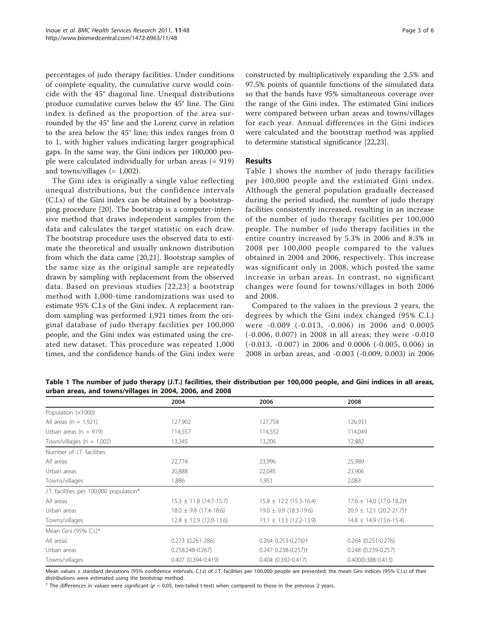percentages of judo therapy facilities. Under conditions of complete equality, the cumulative curve would coincide with the 45° diagonal line. Unequal distributions produce cumulative curves below the 45° line. The Gini index is defined as the proportion of the area surrounded by the 45° line and the Lorenz curve in relation to the area below the 45° line; this index ranges from 0 to 1, with higher values indicating larger geographical gaps. In the same way, the Gini indices per 100,000 people were calculated individually for urban areas (= 919) and towns/villages  $(= 1,002)$ .

The Gini idex is originally a single value reflecting unequal distributions, but the confidence intervals (C.I.s) of the Gini index can be obtained by a bootstrapping procedure [[20](#page-5-0)]. The bootstrap is a computer-intensive method that draws independent samples from the data and calculates the target statistic on each draw. The bootstrap procedure uses the observed data to estimate the theoretical and usually unknown distribution from which the data came [[20,21\]](#page-5-0). Bootstrap samples of the same size as the original sample are repeatedly drawn by sampling with replacement from the observed data. Based on previous studies [[22,23](#page-5-0)] a bootstrap method with 1,000-time randomizations was used to estimate 95% C.I.s of the Gini index. A replacement random sampling was performed 1,921 times from the original database of judo therapy facilities per 100,000 people, and the Gini index was estimated using the created new dataset. This procedure was repeated 1,000 times, and the confidence bands of the Gini index were constructed by multiplicatively expanding the 2.5% and 97.5% points of quantile functions of the simulated data so that the bands have 95% simultaneous coverage over the range of the Gini index. The estimated Gini indices were compared between urban areas and towns/villages for each year. Annual differences in the Gini indices were calculated and the bootstrap method was applied to determine statistical significance [\[22,23\]](#page-5-0).

# Results

Table 1 shows the number of judo therapy facilities per 100,000 people and the estimated Gini index. Although the general population gradually decreased during the period studied, the number of judo therapy facilities consistently increased, resulting in an increase of the number of judo therapy facilities per 100,000 people. The number of judo therapy facilities in the entire country increased by 5.3% in 2006 and 8.3% in 2008 per 100,000 people compared to the values obtained in 2004 and 2006, respectively. This increase was significant only in 2008, which posted the same increase in urban areas. In contrast, no significant changes were found for towns/villages in both 2006 and 2008.

Compared to the values in the previous 2 years, the degrees by which the Gini index changed (95% C.I.) were -0.009 (-0.013, -0.006) in 2006 and 0.0005 (-0.006, 0.007) in 2008 in all areas; they were -0.010 (-0.013, -0.007) in 2006 and 0.0006 (-0.005, 0.006) in 2008 in urban areas, and -0.003 (-0.009, 0.003) in 2006

Table 1 The number of judo therapy (J.T.) facilities, their distribution per 100,000 people, and Gini indices in all areas, urban areas, and towns/villages in 2004, 2006, and 2008

|                                         | 2004                        | 2006                                   | 2008                                     |
|-----------------------------------------|-----------------------------|----------------------------------------|------------------------------------------|
| Population $(x1000)$                    |                             |                                        |                                          |
| All areas ( $n = 1.921$ )               | 127,902                     | 127,758                                | 126,931                                  |
| Urban areas ( $n = 919$ )               | 114,557                     | 114,552                                | 114,049                                  |
| Town/villages ( $n = 1,002$ )           | 13,345                      | 13,206                                 | 12,882                                   |
| Number of J.T. facilities               |                             |                                        |                                          |
| All areas                               | 22,774                      | 23,996                                 | 25,989                                   |
| Urban areas                             | 20,888                      | 22,045                                 | 23,906                                   |
| Towns/villages                          | 1,886                       | 1,951                                  | 2,083                                    |
| J.T. facilities per 100,000 population* |                             |                                        |                                          |
| All areas                               | $15.3 \pm 11.8$ (14.7-15.7) | $15.8 \pm 12.2$ (15.3-16.4)            | $17.6 \pm 14.0$ (17.0-18.2) <sup>+</sup> |
| Urban areas                             | $18.0 \pm 9.8$ (17.4-18.6)  | $19.0 \pm 9.9$ (18.3-19.6)             | $20.9 \pm 12.1$ (20.2-21.7) <sup>+</sup> |
| Towns/villages                          | $12.8 \pm 12.9$ (12.0-13.6) | $13.1 \pm 13.3$ (12.2-13.9)            | $14.8 \pm 14.9$ (13.6-15.4)              |
| Mean Gini (95% C.I.)*                   |                             |                                        |                                          |
| All areas                               | $0.273(0.261 - 286)$        | $0.264$ $0.253 - 0.276$ +              | $0.264$ $(0.251 - 0.276)$                |
| Urban areas                             | $0.258.248 - 0.267$         | $0.247$ $0.238 - 0.257$ ) <sup>+</sup> | $0.248$ $(0.239 - 0.257)$                |
| Towns/villages                          | $0.407(0.394 - 0.419)$      | $0.404$ $(0.392 - 0.417)$              | $0.400(0.388 - 0.413)$                   |

Mean values ± standard deviations (95% confidence intervals, C.I.s) of J.T. facilities per 100,000 people are presented; the mean Gini indices (95% C.I.s) of their distributions were estimated using the bootstrap method.

 $^{\dagger}$  The differences in values were significant (p < 0.05, two-tailed t-test) when compared to those in the previous 2 years.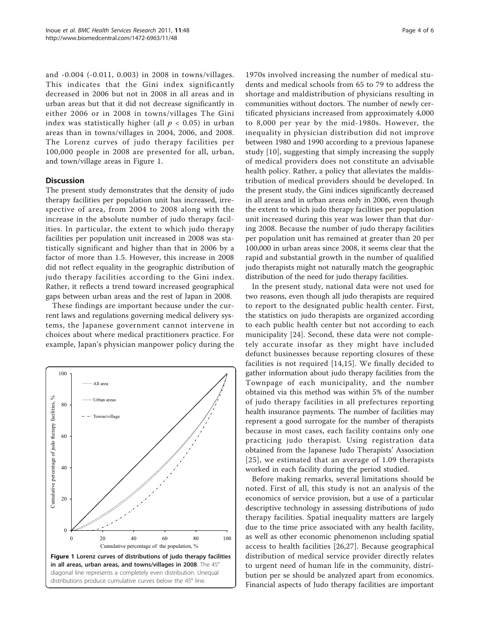and -0.004 (-0.011, 0.003) in 2008 in towns/villages. This indicates that the Gini index significantly decreased in 2006 but not in 2008 in all areas and in urban areas but that it did not decrease significantly in either 2006 or in 2008 in towns/villages The Gini index was statistically higher (all  $p < 0.05$ ) in urban areas than in towns/villages in 2004, 2006, and 2008. The Lorenz curves of judo therapy facilities per 100,000 people in 2008 are presented for all, urban, and town/village areas in Figure 1.

#### **Discussion**

The present study demonstrates that the density of judo therapy facilities per population unit has increased, irrespective of area, from 2004 to 2008 along with the increase in the absolute number of judo therapy facilities. In particular, the extent to which judo therapy facilities per population unit increased in 2008 was statistically significant and higher than that in 2006 by a factor of more than 1.5. However, this increase in 2008 did not reflect equality in the geographic distribution of judo therapy facilities according to the Gini index. Rather, it reflects a trend toward increased geographical gaps between urban areas and the rest of Japan in 2008.

These findings are important because under the current laws and regulations governing medical delivery systems, the Japanese government cannot intervene in choices about where medical practitioners practice. For example, Japan's physician manpower policy during the



1970s involved increasing the number of medical students and medical schools from 65 to 79 to address the shortage and maldistribution of physicians resulting in communities without doctors. The number of newly certificated physicians increased from approximately 4,000 to 8,000 per year by the mid-1980s. However, the inequality in physician distribution did not improve between 1980 and 1990 according to a previous Japanese study [[10\]](#page-4-0), suggesting that simply increasing the supply of medical providers does not constitute an advisable health policy. Rather, a policy that alleviates the maldistribution of medical providers should be developed. In the present study, the Gini indices significantly decreased in all areas and in urban areas only in 2006, even though the extent to which judo therapy facilities per population unit increased during this year was lower than that during 2008. Because the number of judo therapy facilities per population unit has remained at greater than 20 per 100,000 in urban areas since 2008, it seems clear that the rapid and substantial growth in the number of qualified judo therapists might not naturally match the geographic distribution of the need for judo therapy facilities.

In the present study, national data were not used for two reasons, even though all judo therapists are required to report to the designated public health center. First, the statistics on judo therapists are organized according to each public health center but not according to each municipality [\[24](#page-5-0)]. Second, these data were not completely accurate insofar as they might have included defunct businesses because reporting closures of these facilities is not required [\[14](#page-5-0),[15](#page-5-0)]. We finally decided to gather information about judo therapy facilities from the Townpage of each municipality, and the number obtained via this method was within 5% of the number of judo therapy facilities in all prefectures reporting health insurance payments. The number of facilities may represent a good surrogate for the number of therapists because in most cases, each facility contains only one practicing judo therapist. Using registration data obtained from the Japanese Judo Therapists' Association [[25\]](#page-5-0), we estimated that an average of 1.09 therapists worked in each facility during the period studied.

Before making remarks, several limitations should be noted. First of all, this study is not an analysis of the economics of service provision, but a use of a particular descriptive technology in assessing distributions of judo therapy facilities. Spatial inequality matters are largely due to the time price associated with any health facility, as well as other economic phenomenon including spatial access to health facilities [[26](#page-5-0),[27\]](#page-5-0). Because geographical distribution of medical service provider directly relates to urgent need of human life in the community, distribution per se should be analyzed apart from economics. Financial aspects of Judo therapy facilities are important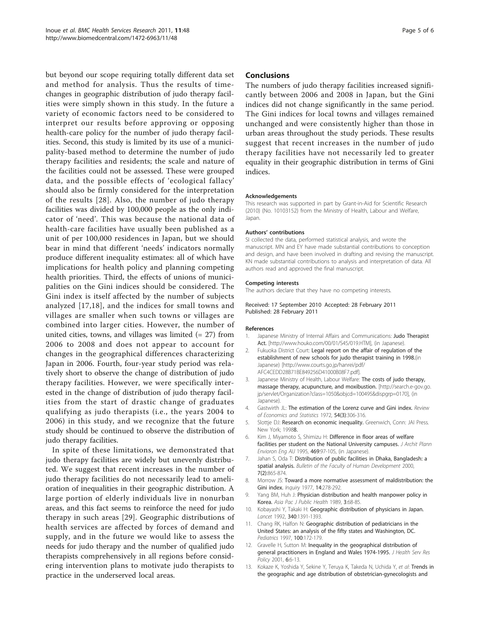<span id="page-4-0"></span>but beyond our scope requiring totally different data set and method for analysis. Thus the results of timechanges in geographic distribution of judo therapy facilities were simply shown in this study. In the future a variety of economic factors need to be considered to interpret our results before approving or opposing health-care policy for the number of judo therapy facilities. Second, this study is limited by its use of a municipality-based method to determine the number of judo therapy facilities and residents; the scale and nature of the facilities could not be assessed. These were grouped data, and the possible effects of 'ecological fallacy' should also be firmly considered for the interpretation of the results [[28\]](#page-5-0). Also, the number of judo therapy facilities was divided by 100,000 people as the only indicator of 'need'. This was because the national data of health-care facilities have usually been published as a unit of per 100,000 residences in Japan, but we should bear in mind that different 'needs' indicators normally produce different inequality estimates: all of which have implications for health policy and planning competing health priorities. Third, the effects of unions of municipalities on the Gini indices should be considered. The Gini index is itself affected by the number of subjects analyzed [[17](#page-5-0),[18\]](#page-5-0), and the indices for small towns and villages are smaller when such towns or villages are combined into larger cities. However, the number of united cities, towns, and villages was limited  $(= 27)$  from 2006 to 2008 and does not appear to account for changes in the geographical differences characterizing Japan in 2006. Fourth, four-year study period was relatively short to observe the change of distribution of judo therapy facilities. However, we were specifically interested in the change of distribution of judo therapy facilities from the start of drastic change of graduates qualifying as judo therapists (i.e., the years 2004 to 2006) in this study, and we recognize that the future study should be continued to observe the distribution of judo therapy facilities.

In spite of these limitations, we demonstrated that judo therapy facilities are widely but unevenly distributed. We suggest that recent increases in the number of judo therapy facilities do not necessarily lead to amelioration of inequalities in their geographic distribution. A large portion of elderly individuals live in nonurban areas, and this fact seems to reinforce the need for judo therapy in such areas [\[29\]](#page-5-0). Geographic distributions of health services are affected by forces of demand and supply, and in the future we would like to assess the needs for judo therapy and the number of qualified judo therapists comprehensively in all regions before considering intervention plans to motivate judo therapists to practice in the underserved local areas.

#### **Conclusions**

The numbers of judo therapy facilities increased significantly between 2006 and 2008 in Japan, but the Gini indices did not change significantly in the same period. The Gini indices for local towns and villages remained unchanged and were consistently higher than those in urban areas throughout the study periods. These results suggest that recent increases in the number of judo therapy facilities have not necessarily led to greater equality in their geographic distribution in terms of Gini indices.

#### Acknowledgements

This research was supported in part by Grant-in-Aid for Scientific Research (2010) (No. 10103152) from the Ministry of Health, Labour and Welfare, Japan.

#### Authors' contributions

SI collected the data, performed statistical analysis, and wrote the manuscript. MN and EY have made substantial contributions to conception and design, and have been involved in drafting and revising the manuscript. KN made substantial contributions to analysis and interpretation of data. All authors read and approved the final manuscript.

#### Competing interests

The authors declare that they have no competing interests.

#### Received: 17 September 2010 Accepted: 28 February 2011 Published: 28 February 2011

#### References

- 1. Japanese Ministry of Internal Affairs and Communications: Judo Therapist Act. [\[http://www.houko.com/00/01/S45/019.HTM](http://www.houko.com/00/01/S45/019.HTM)], (in Japanese).
- 2. Fukuoka District Court: Legal report on the affair of regulation of the establishment of new schools for judo therapist training in 1998.(in Japanese) [\[http://www.courts.go.jp/hanrei/pdf/](http://www.courts.go.jp/hanrei/pdf/AFC4CEDD28B71BE849256D41000B08F7.pdf) [AFC4CEDD28B71BE849256D41000B08F7.pdf](http://www.courts.go.jp/hanrei/pdf/AFC4CEDD28B71BE849256D41000B08F7.pdf)].
- 3. Japanese Ministry of Health, Labour Welfare: The costs of judo therapy, massage therapy, acupuncture, and moxibustion. [[http://search.e-gov.go.](http://search.e-gov.go.jp/servlet/Organization?class=1050&objcd=100495&dispgrp=0170) [jp/servlet/Organization?class=1050&objcd=100495&dispgrp=0170\]](http://search.e-gov.go.jp/servlet/Organization?class=1050&objcd=100495&dispgrp=0170), (in Japanese).
- 4. Gastwirth JL: The estimation of the Lorenz curve and Gini index. Review of Economics and Statistics 1972, 54(3):306-316.
- 5. Slottje DJ: Research on economic inequality. Greenwich, Conn: JAI Press. New York; 19988.
- 6. Kim J, Miyamoto S, Shimizu H: Difference in floor areas of welfare facilities per student on the National University campuses. J Archit Plann Envioron Eng AIJ 1995, 469:97-105, (in Japanese).
- 7. Jahan S, Oda T: Distribution of public facilities in Dhaka, Bangladesh: a spatial analysis. Bulletin of the Faculty of Human Development 2000, 7(2):865-874.
- 8. Morrow JS: [Toward a more normative assessment of maldistribution: the](http://www.ncbi.nlm.nih.gov/pubmed/143453?dopt=Abstract) [Gini index.](http://www.ncbi.nlm.nih.gov/pubmed/143453?dopt=Abstract) *Inquiry* 1977, 14:278-292.
- 9. Yang BM, Huh J: [Physician distribution and health manpower policy in](http://www.ncbi.nlm.nih.gov/pubmed/2719875?dopt=Abstract) [Korea.](http://www.ncbi.nlm.nih.gov/pubmed/2719875?dopt=Abstract) Asia Pac J Public Health 1989, 3:68-85.
- 10. Kobayashi Y, Takaki H: [Geographic distribution of physicians in Japan.](http://www.ncbi.nlm.nih.gov/pubmed/1360099?dopt=Abstract) Lancet 1992, 340:1391-1393.
- 11. Chang RK, Halfon N: [Geographic distribution of pediatricians in the](http://www.ncbi.nlm.nih.gov/pubmed/9240795?dopt=Abstract) [United States: an analysis of the fifty states and Washington, DC.](http://www.ncbi.nlm.nih.gov/pubmed/9240795?dopt=Abstract) Pediatrics 1997, 100:172-179.
- 12. Gravelle H, Sutton M: [Inequality in the geographical distribution of](http://www.ncbi.nlm.nih.gov/pubmed/11219363?dopt=Abstract) [general practitioners in England and Wales 1974-1995.](http://www.ncbi.nlm.nih.gov/pubmed/11219363?dopt=Abstract) J Health Serv Res Policy 2001, 6:6-13.
- 13. Kokaze K, Yoshida Y, Sekine Y, Teruya K, Takeda N, Uchida Y, et al: Trends in the geographic and age distribution of obstetrician-gynecologists and